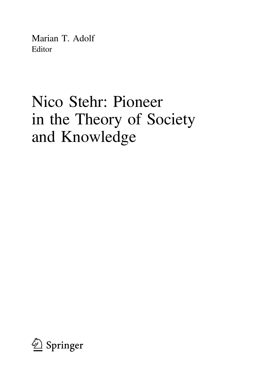Marian T. Adolf Editor

# Nico Stehr: Pioneer in the Theory of Society and Knowledge

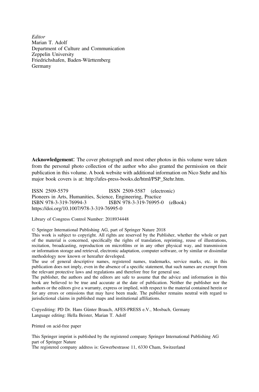**Editor** Marian T. Adolf Department of Culture and Communication Zeppelin University Friedrichshafen, Baden-Württemberg Germany

Acknowledgement: The cover photograph and most other photos in this volume were taken from the personal photo collection of the author who also granted the permission on their publication in this volume. A book website with additional information on Nico Stehr and his major book covers is at: http://afes-press-books.de/html/PSP\_Stehr.htm.

ISSN 2509-5579 ISSN 2509-5587 (electronic) Pioneers in Arts, Humanities, Science, Engineering, Practice<br>
ISBN 978-3-319-76994-3<br>
ISBN 978-3-319-76995-0 ISBN 978-3-319-76995-0 (eBook) https://doi.org/10.1007/978-3-319-76995-0

Library of Congress Control Number: 2018934448

© Springer International Publishing AG, part of Springer Nature 2018

This work is subject to copyright. All rights are reserved by the Publisher, whether the whole or part of the material is concerned, specifically the rights of translation, reprinting, reuse of illustrations, recitation, broadcasting, reproduction on microfilms or in any other physical way, and transmission or information storage and retrieval, electronic adaptation, computer software, or by similar or dissimilar methodology now known or hereafter developed.

The use of general descriptive names, registered names, trademarks, service marks, etc. in this publication does not imply, even in the absence of a specific statement, that such names are exempt from the relevant protective laws and regulations and therefore free for general use.

The publisher, the authors and the editors are safe to assume that the advice and information in this book are believed to be true and accurate at the date of publication. Neither the publisher nor the authors or the editors give a warranty, express or implied, with respect to the material contained herein or for any errors or omissions that may have been made. The publisher remains neutral with regard to jurisdictional claims in published maps and institutional affiliations.

Copyediting: PD Dr. Hans Günter Brauch, AFES-PRESS e.V., Mosbach, Germany Language editing: Hella Beister, Marian T. Adolf

Printed on acid-free paper

This Springer imprint is published by the registered company Springer International Publishing AG part of Springer Nature

The registered company address is: Gewerbestrasse 11, 6330 Cham, Switzerland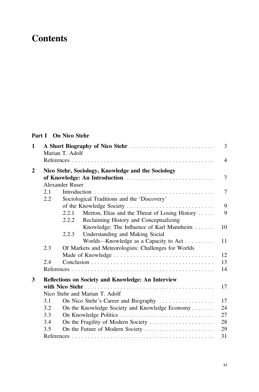# **Contents**

## Part I On Nico Stehr

| 1            |     | A Short Biography of Nico Stehr<br>Marian T. Adolf      | 3<br>$\overline{4}$ |
|--------------|-----|---------------------------------------------------------|---------------------|
| $\mathbf{2}$ |     | Nico Stehr, Sociology, Knowledge and the Sociology      |                     |
|              |     | of Knowledge: An Introduction                           | 7                   |
|              |     | Alexander Ruser                                         |                     |
|              | 2.1 |                                                         | 7                   |
|              | 2.2 | Sociological Traditions and the 'Discovery'             |                     |
|              |     | of the Knowledge Society                                | 9                   |
|              |     | Merton, Elias and the Threat of Losing History<br>2.2.1 | 9                   |
|              |     | Reclaiming History and Conceptualizing<br>2.2.2         |                     |
|              |     | Knowledge: The Influence of Karl Mannheim               | 10                  |
|              |     | Understanding and Making Social<br>2.2.3                |                     |
|              |     | Worlds-Knowledge as a Capacity to Act                   | 11                  |
|              | 2.3 | Of Markets and Meteorologists: Challenges for Worlds    |                     |
|              |     |                                                         | 12                  |
|              | 2.4 |                                                         | 13                  |
|              |     |                                                         | 14                  |
| 3            |     | Reflections on Society and Knowledge: An Interview      |                     |
|              |     |                                                         | 17                  |
|              |     | Nico Stehr and Marian T. Adolf                          |                     |
|              | 3.1 | On Nico Stehr's Career and Biography                    | 17                  |
|              | 3.2 | On the Knowledge Society and Knowledge Economy          | 24                  |
|              | 3.3 |                                                         | 27                  |
|              | 3.4 | On the Fragility of Modern Society                      | 28                  |
|              | 3.5 | On the Future of Modern Society                         | 29                  |
|              |     |                                                         | 31                  |
|              |     |                                                         |                     |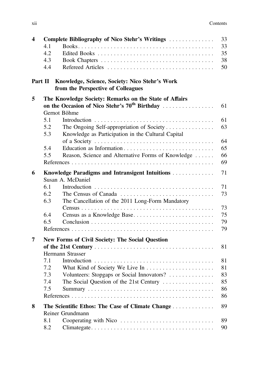| $\cdot$ .<br>X11 | Contents<br>. |
|------------------|---------------|
|                  |               |

| 4       |                                                                      | Complete Bibliography of Nico Stehr's Writings                                                  | 33                   |  |
|---------|----------------------------------------------------------------------|-------------------------------------------------------------------------------------------------|----------------------|--|
|         | 4.1<br>4.2<br>4.3<br>4.4                                             | Refereed Articles                                                                               | 33<br>35<br>38<br>50 |  |
| Part II |                                                                      | Knowledge, Science, Society: Nico Stehr's Work<br>from the Perspective of Colleagues            |                      |  |
| 5       |                                                                      | The Knowledge Society: Remarks on the State of Affairs                                          |                      |  |
|         |                                                                      | on the Occasion of Nico Stehr's 70 <sup>th</sup> Birthday                                       | 61                   |  |
|         |                                                                      | Gernot Böhme                                                                                    |                      |  |
|         | 5.1<br>5.2<br>5.3                                                    | The Ongoing Self-appropriation of Society<br>Knowledge as Participation in the Cultural Capital | 61<br>63             |  |
|         |                                                                      |                                                                                                 | 64                   |  |
|         | 5.4                                                                  | Education as Information                                                                        | 65                   |  |
|         | 5.5                                                                  | Reason, Science and Alternative Forms of Knowledge                                              | 66                   |  |
|         |                                                                      |                                                                                                 | 69                   |  |
| 6       | Knowledge Paradigms and Intransigent Intuitions<br>Susan A. McDaniel |                                                                                                 |                      |  |
|         | 6.1                                                                  |                                                                                                 | 71                   |  |
|         | 6.2<br>6.3                                                           | The Census of Canada<br>The Cancellation of the 2011 Long-Form Mandatory                        | 73                   |  |
|         |                                                                      |                                                                                                 | 73                   |  |
|         | 6.4                                                                  | Census as a Knowledge Base                                                                      | 75                   |  |
|         | 6.5                                                                  |                                                                                                 | 79<br>79             |  |
|         |                                                                      |                                                                                                 |                      |  |
| 7       | New Forms of Civil Society: The Social Question                      |                                                                                                 |                      |  |
|         |                                                                      |                                                                                                 | 81                   |  |
|         |                                                                      | Hermann Strasser                                                                                |                      |  |
|         | 7.1<br>7.2                                                           |                                                                                                 | 81<br>81             |  |
|         | 7.3                                                                  | Volunteers: Stopgaps or Social Innovators?                                                      | 83                   |  |
|         | 7.4                                                                  | The Social Question of the 21st Century                                                         | 85                   |  |
|         | 7.5                                                                  |                                                                                                 | 86                   |  |
|         |                                                                      |                                                                                                 | 86                   |  |
| 8       |                                                                      |                                                                                                 | 89                   |  |
|         | The Scientific Ethos: The Case of Climate Change<br>Reiner Grundmann |                                                                                                 |                      |  |
|         | 8.1                                                                  | Cooperating with Nico                                                                           | 89                   |  |
|         | 8.2                                                                  |                                                                                                 | 90                   |  |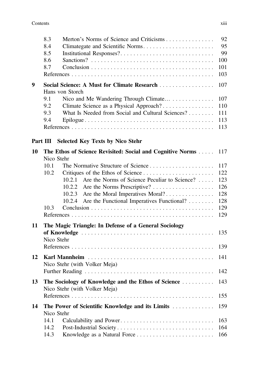|    | 8.3<br>Merton's Norms of Science and Criticisms                | 92         |
|----|----------------------------------------------------------------|------------|
|    | 8.4<br>Climategate and Scientific Norms                        | 95         |
|    | 8.5<br>Institutional Responses?                                | 99         |
|    | 8.6                                                            | 100        |
|    | 8.7                                                            | 101        |
|    |                                                                | 103        |
| 9  | Social Science: A Must for Climate Research                    | 107        |
|    | Hans von Storch                                                |            |
|    | 9.1<br>Nico and Me Wandering Through Climate                   | 107        |
|    | 9.2<br>Climate Science as a Physical Approach?                 | 110        |
|    | 9.3<br>What Is Needed from Social and Cultural Sciences?       | 111        |
|    | 9.4                                                            | 113        |
|    |                                                                | 113        |
|    | Part III<br><b>Selected Key Texts by Nico Stehr</b>            |            |
| 10 | The Ethos of Science Revisited: Social and Cognitive Norms     | 117        |
|    | Nico Stehr                                                     |            |
|    | 10.1                                                           | 117        |
|    | 10.2                                                           | 122        |
|    | Are the Norms of Science Peculiar to Science?<br>10.2.1        | 123        |
|    | 10.2.2                                                         | 126        |
|    | Are the Moral Imperatives Moral?<br>10.2.3                     | 128        |
|    | 10.2.4<br>Are the Functional Imperatives Functional?<br>10.3   | 128<br>129 |
|    |                                                                | 129        |
|    |                                                                |            |
| 11 | The Magic Triangle: In Defense of a General Sociology          |            |
|    | Nico Stehr                                                     | 135        |
|    |                                                                | 139        |
| 12 | Nico Stehr (with Volker Meja)                                  | 141        |
|    |                                                                | 142        |
| 13 | The Sociology of Knowledge and the Ethos of Science            | 143        |
|    | Nico Stehr (with Volker Meja)                                  |            |
|    |                                                                | 155        |
| 14 | The Power of Scientific Knowledge and its Limits<br>Nico Stehr | 159        |
|    | Calculability and Power<br>14.1                                | 163        |
|    | 14.2<br>Post-Industrial Society                                | 164        |
|    | 14.3                                                           | 166        |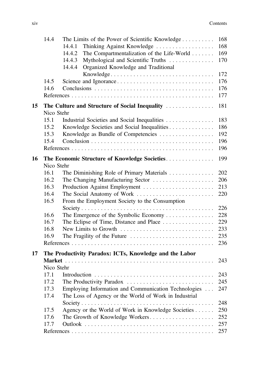|    | 14.4       | The Limits of the Power of Scientific Knowledge         | 168 |
|----|------------|---------------------------------------------------------|-----|
|    |            | 14.4.1<br>Thinking Against Knowledge                    | 168 |
|    |            | The Compartmentalization of the Life-World<br>14.4.2    | 169 |
|    |            | Mythological and Scientific Truths<br>14.4.3            | 170 |
|    |            | Organized Knowledge and Traditional<br>14.4.4           |     |
|    |            | Knowledge                                               | 172 |
|    | 14.5       | Science and Ignorance                                   | 176 |
|    | 14.6       |                                                         | 176 |
|    |            |                                                         | 177 |
| 15 | Nico Stehr | The Culture and Structure of Social Inequality          | 181 |
|    | 15.1       | Industrial Societies and Social Inequalities            | 183 |
|    | 15.2       | Knowledge Societies and Social Inequalities             | 186 |
|    | 15.3       | Knowledge as Bundle of Competencies                     | 192 |
|    | 15.4       |                                                         | 196 |
|    |            |                                                         | 196 |
|    |            |                                                         |     |
| 16 | Nico Stehr | The Economic Structure of Knowledge Societies           | 199 |
|    | 16.1       | The Diminishing Role of Primary Materials               | 202 |
|    | 16.2       | The Changing Manufacturing Sector                       | 206 |
|    | 16.3       |                                                         | 213 |
|    | 16.4       | The Social Anatomy of Work                              | 220 |
|    | 16.5       | From the Employment Society to the Consumption          |     |
|    |            |                                                         | 226 |
|    | 16.6       | The Emergence of the Symbolic Economy                   | 228 |
|    | 16.7       | The Eclipse of Time, Distance and Place                 | 229 |
|    | 16.8       | New Limits to Growth                                    | 233 |
|    | 16.9       | The Fragility of the Future                             | 235 |
|    |            |                                                         | 236 |
|    |            |                                                         |     |
| 17 |            | The Productivity Paradox: ICTs, Knowledge and the Labor | 243 |
|    | Nico Stehr |                                                         |     |
|    | 17.1       |                                                         | 243 |
|    | 17.2       | The Productivity Paradox                                | 245 |
|    | 17.3       | Employing Information and Communication Technologies    | 247 |
|    | 17.4       | The Loss of Agency or the World of Work in Industrial   |     |
|    |            |                                                         | 248 |
|    | 17.5       | Agency or the World of Work in Knowledge Societies      | 250 |
|    | 17.6       | The Growth of Knowledge Workers                         | 252 |
|    | 17.7       |                                                         | 257 |
|    |            |                                                         | 257 |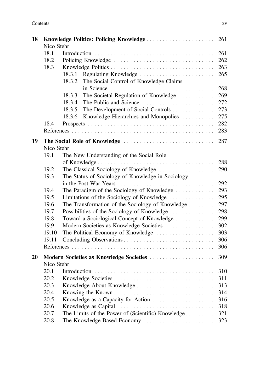| 18 |                    |                                                   | 261 |
|----|--------------------|---------------------------------------------------|-----|
|    | Nico Stehr         |                                                   |     |
|    | 18.1               |                                                   | 261 |
|    | 18.2               | Policing Knowledge                                | 262 |
|    | 18.3               |                                                   | 263 |
|    |                    | Regulating Knowledge<br>18.3.1                    | 265 |
|    |                    | The Social Control of Knowledge Claims<br>18.3.2  |     |
|    |                    | in Science                                        | 268 |
|    |                    | The Societal Regulation of Knowledge<br>18.3.3    | 269 |
|    |                    | 18.3.4<br>The Public and Science                  | 272 |
|    |                    | 18.3.5<br>The Development of Social Controls      | 273 |
|    |                    | 18.3.6<br>Knowledge Hierarchies and Monopolies    | 275 |
|    | 18.4               |                                                   | 282 |
|    |                    |                                                   | 283 |
| 19 |                    | The Social Role of Knowledge                      | 287 |
|    | Nico Stehr         |                                                   |     |
|    | 19.1               | The New Understanding of the Social Role          |     |
|    |                    |                                                   | 288 |
|    | 19.2               | The Classical Sociology of Knowledge              | 290 |
|    | 19.3               | The Status of Sociology of Knowledge in Sociology |     |
|    |                    |                                                   | 292 |
|    | 19.4               | The Paradigm of the Sociology of Knowledge        | 293 |
|    | 19.5               | Limitations of the Sociology of Knowledge         | 295 |
|    | 19.6               | The Transformation of the Sociology of Knowledge  | 297 |
|    | 19.7               | Possibilities of the Sociology of Knowledge       | 298 |
|    | 19.8               | Toward a Sociological Concept of Knowledge        | 299 |
|    | 19.9               | Modern Societies as Knowledge Societies           | 302 |
|    | 19.10              | The Political Economy of Knowledge                | 303 |
|    | 19.11              |                                                   | 306 |
|    |                    |                                                   | 306 |
|    |                    |                                                   |     |
| 20 |                    | Modern Societies as Knowledge Societies           | 309 |
|    | Nico Stehr<br>20.1 |                                                   | 310 |
|    |                    |                                                   |     |
|    | 20.2               |                                                   | 311 |
|    | 20.3               | Knowledge About Knowledge                         | 313 |
|    | 20.4               |                                                   | 314 |
|    | 20.5               | Knowledge as a Capacity for Action                | 316 |
|    | 20.6               |                                                   | 318 |
|    | 20.7               | The Limits of the Power of (Scientific) Knowledge | 321 |
|    | 20.8               | The Knowledge-Based Economy                       | 323 |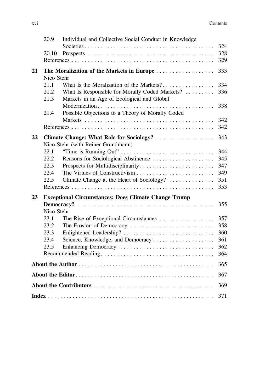|    | 20.9         | Individual and Collective Social Conduct in Knowledge       |            |
|----|--------------|-------------------------------------------------------------|------------|
|    | 20.10        |                                                             | 324<br>328 |
|    |              |                                                             | 329        |
| 21 | Nico Stehr   |                                                             | 333        |
|    | 21.1         | What Is the Moralization of the Markets?                    | 334        |
|    | 21.2         | What Is Responsible for Morally Coded Markets?              | 336        |
|    | 21.3         | Markets in an Age of Ecological and Global                  |            |
|    |              |                                                             | 338        |
|    | 21.4         | Possible Objections to a Theory of Morally Coded            |            |
|    |              |                                                             | 342        |
|    |              |                                                             | 342        |
| 22 |              | Climate Change: What Role for Sociology?                    | 343        |
|    |              | Nico Stehr (with Reiner Grundmann)                          |            |
|    | 22.1         | "Time is Running Out"                                       | 344        |
|    | 22.2         | Reasons for Sociological Abstinence                         | 345        |
|    | 22.3         |                                                             | 347        |
|    | 22.4<br>22.5 |                                                             | 349        |
|    |              | Climate Change at the Heart of Sociology?                   | 351<br>353 |
|    |              |                                                             |            |
| 23 |              | <b>Exceptional Circumstances: Does Climate Change Trump</b> |            |
|    | Nico Stehr   |                                                             | 355        |
|    | 23.1         | The Rise of Exceptional Circumstances                       | 357        |
|    | 23.2         | The Erosion of Democracy                                    | 358        |
|    | 23.3         |                                                             | 360        |
|    | 23.4         | Science, Knowledge, and Democracy                           | 361        |
|    | 23.5         | Enhancing Democracy                                         | 362        |
|    |              |                                                             | 364        |
|    |              |                                                             | 365        |
|    |              |                                                             | 367        |
|    |              |                                                             | 369        |
|    |              |                                                             | 371        |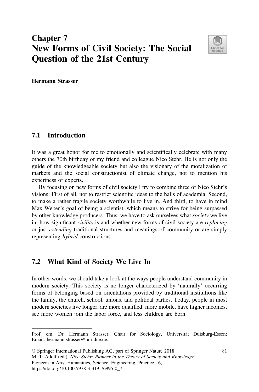## <span id="page-8-0"></span>Chapter 7 New Forms of Civil Society: The Social Question of the 21st Century



Hermann Strasser

### 7.1 Introduction

It was a great honor for me to emotionally and scientifically celebrate with many others the 70th birthday of my friend and colleague Nico Stehr. He is not only the guide of the knowledgeable society but also the visionary of the moralization of markets and the social constructionist of climate change, not to mention his expertness of experts.

By focusing on new forms of civil society I try to combine three of Nico Stehr's visions: First of all, not to restrict scientific ideas to the halls of academia. Second, to make a rather fragile society worthwhile to live in. And third, to have in mind Max Weber's goal of being a scientist, which means to strive for being surpassed by other knowledge producers. Thus, we have to ask ourselves what *society* we live in, how significant civility is and whether new forms of civil society are replacing or just extending traditional structures and meanings of community or are simply representing hybrid constructions.

#### 7.2 What Kind of Society We Live In

In other words, we should take a look at the ways people understand community in modern society. This society is no longer characterized by 'naturally' occurring forms of belonging based on orientations provided by traditional institutions like the family, the church, school, unions, and political parties. Today, people in most modern societies live longer, are more qualified, more mobile, have higher incomes, see more women join the labor force, and less children are born.

81

Prof. em. Dr. Hermann Strasser, Chair for Sociology, Universität Duisburg-Essen; Email: hermann.strasser@uni-due.de.

<sup>©</sup> Springer International Publishing AG, part of Springer Nature 2018 M. T. Adolf (ed.), Nico Stehr: Pioneer in the Theory of Society and Knowledge, Pioneers in Arts, Humanities, Science, Engineering, Practice 16, https://doi.org/10.1007/978-3-319-76995-0\_7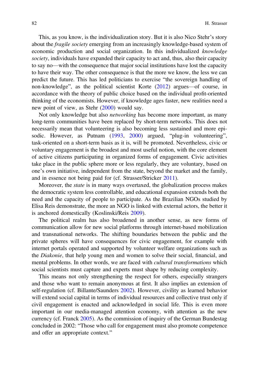This, as you know, is the individualization story. But it is also Nico Stehr's story about the *fragile society* emerging from an increasingly knowledge-based system of economic production and social organization. In this individualized knowledge society, individuals have expanded their capacity to act and, thus, also their capacity to say no—with the consequence that major social institutions have lost the capacity to have their way. The other consequence is that the more we know, the less we can predict the future. This has led politicians to exercise "the sovereign handling of non-knowledge", as the political scientist Korte (2012) argues—of course, in accordance with the theory of public choice based on the individual profit-oriented thinking of the economists. However, if knowledge ages faster, new realities need a new point of view, as Stehr (2000) would say.

Not only knowledge but also networking has become more important, as many long-term communities have been replaced by short-term networks. This does not necessarily mean that volunteering is also becoming less sustained and more episodic. However, as Putnam (1993, 2000) argued, "plug-in volunteering", task-oriented on a short-term basis as it is, will be promoted. Nevertheless, civic or voluntary engagement is the broadest and most useful notion, with the core element of active citizens participating in organized forms of engagement. Civic activities take place in the public sphere more or less regularly, they are voluntary, based on one's own initiative, independent from the state, beyond the market and the family, and in essence not being paid for (cf. Strasser/Stricker 2011).

Moreover, the *state* is in many ways overtaxed, the globalization process makes the democratic system less controllable, and educational expansion extends both the need and the capacity of people to participate. As the Brazilian NGOs studied by Elisa Reis demonstrate, the more an NGO is linked with external actors, the better it is anchored domestically (Koslinski/Reis 2009).

The political realm has also broadened in another sense, as new forms of communication allow for new social platforms through internet-based mobilization and transnational networks. The shifting boundaries between the public and the private spheres will have consequences for civic engagement, for example with internet portals operated and supported by volunteer welfare organizations such as the Diakonie, that help young men and women to solve their social, financial, and mental problems. In other words, we are faced with cultural transformations which social scientists must capture and experts must shape by reducing complexity.

This means not only strengthening the respect for others, especially strangers and those who want to remain anonymous at first. It also implies an extension of self-regulation (cf. Billante/Saunders 2002). However, civility as learned behavior will extend social capital in terms of individual resources and collective trust only if civil engagement is enacted and acknowledged in social life. This is even more important in our media-managed attention economy, with attention as the new currency (cf. Franck 2005). As the commission of inquiry of the German Bundestag concluded in 2002: "Those who call for engagement must also promote competence and offer an appropriate context."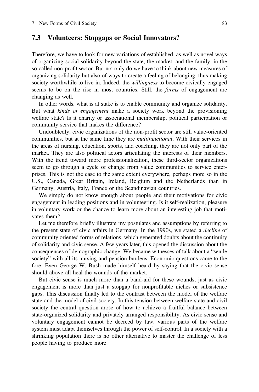#### <span id="page-10-0"></span>7.3 Volunteers: Stopgaps or Social Innovators?

Therefore, we have to look for new variations of established, as well as novel ways of organizing social solidarity beyond the state, the market, and the family, in the so-called non-profit sector. But not only do we have to think about new measures of organizing solidarity but also of ways to create a feeling of belonging, thus making society worthwhile to live in. Indeed, the willingness to become civically engaged seems to be on the rise in most countries. Still, the forms of engagement are changing as well.

In other words, what is at stake is to enable community and organize solidarity. But what kinds of engagement make a society work beyond the provisioning welfare state? Is it charity or associational membership, political participation or community service that makes the difference?

Undoubtedly, civic organizations of the non-profit sector are still value-oriented communities, but at the same time they are multifunctional. With their services in the areas of nursing, education, sports, and coaching, they are not only part of the market. They are also political actors articulating the interests of their members. With the trend toward more professionalization, these third-sector organizations seem to go through a cycle of change from value communities to service enterprises. This is not the case to the same extent everywhere, perhaps more so in the U.S., Canada, Great Britain, Ireland, Belgium and the Netherlands than in Germany, Austria, Italy, France or the Scandinavian countries.

We simply do not know enough about people and their motivations for civic engagement in leading positions and in volunteering. Is it self-realization, pleasure in voluntary work or the chance to learn more about an interesting job that motivates them?

Let me therefore briefly illustrate my postulates and assumptions by referring to the present state of civic affairs in Germany. In the 1990s, we stated a decline of community oriented forms of relations, which generated doubts about the continuity of solidarity and civic sense. A few years later, this opened the discussion about the consequences of demographic change. We became witnesses of talk about a "senile society" with all its nursing and pension burdens. Economic questions came to the fore. Even George W. Bush made himself heard by saying that the civic sense should above all heal the wounds of the market.

But civic sense is much more than a band-aid for these wounds, just as civic engagement is more than just a stopgap for nonprofitable niches or subsistence gaps. This discussion finally led to the contrast between the model of the welfare state and the model of civil society. In this tension between welfare state and civil society the central question arose of how to achieve a fruitful balance between state-organized solidarity and privately arranged responsibility. As civic sense and voluntary engagement cannot be decreed by law, various parts of the welfare system must adapt themselves through the power of self-control. In a society with a shrinking population there is no other alternative to master the challenge of less people having to produce more.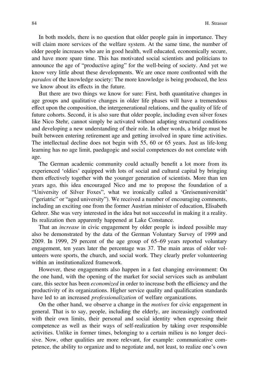In both models, there is no question that older people gain in importance. They will claim more services of the welfare system. At the same time, the number of older people increases who are in good health, well educated, economically secure, and have more spare time. This has motivated social scientists and politicians to announce the age of "productive aging" for the well-being of society. And yet we know very little about these developments. We are once more confronted with the paradox of the knowledge society: The more knowledge is being produced, the less we know about its effects in the future.

But there are two things we know for sure: First, both quantitative changes in age groups and qualitative changes in older life phases will have a tremendous effect upon the composition, the intergenerational relations, and the quality of life of future cohorts. Second, it is also sure that older people, including even silver foxes like Nico Stehr, cannot simply be activated without adapting structural conditions and developing a new understanding of their role. In other words, a bridge must be built between entering retirement age and getting involved in spare time activities. The intellectual decline does not begin with 55, 60 or 65 years. Just as life-long learning has no age limit, paedagogic and social competences do not correlate with age.

The German academic community could actually benefit a lot more from its experienced 'oldies' equipped with lots of social and cultural capital by bringing them effectively together with the younger generation of scientists. More than ten years ago, this idea encouraged Nico and me to propose the foundation of a "University of Silver Foxes", what we ironically called a 'Greisenuniversität' ("geriatric" or "aged university"). We received a number of encouraging comments, including an exciting one from the former Austrian minister of education, Elisabeth Gehrer. She was very interested in the idea but not successful in making it a reality. Its realization then apparently happened at Lake Constance.

That an *increase* in civic engagement by older people is indeed possible may also be demonstrated by the data of the German Voluntary Survey of 1999 and 2009. In 1999, 29 percent of the age group of 65–69 years reported voluntary engagement, ten years later the percentage was 37. The main areas of older volunteers were sports, the church, and social work. They clearly prefer volunteering within an institutionalized framework.

However, these engagements also happen in a fast changing environment: On the one hand, with the opening of the market for social services such as ambulant care, this sector has been *economized* in order to increase both the efficiency and the productivity of its organizations. Higher service quality and qualification standards have led to an increased professionalization of welfare organizations.

On the other hand, we observe a change in the motives for civic engagement in general. That is to say, people, including the elderly, are increasingly confronted with their own limits, their personal and social identity when expressing their competence as well as their ways of self-realization by taking over responsible activities. Unlike in former times, belonging to a certain milieu is no longer decisive. Now, other qualities are more relevant, for example: communicative competence, the ability to organize and to negotiate and, not least, to realize one's own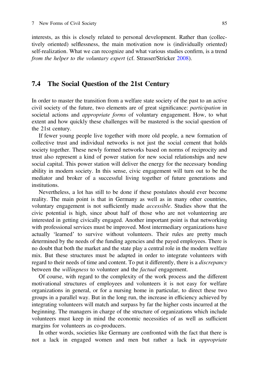<span id="page-12-0"></span>interests, as this is closely related to personal development. Rather than (collectively oriented) selflessness, the main motivation now is (individually oriented) self-realization. What we can recognize and what various studies confirm, is a trend from the helper to the voluntary expert (cf. Strasser/Stricker 2008).

#### 7.4 The Social Question of the 21st Century

In order to master the transition from a welfare state society of the past to an active civil society of the future, two elements are of great significance: participation in societal actions and *appropriate forms* of voluntary engagement. How, to what extent and how quickly these challenges will be mastered is the social question of the 21st century.

If fewer young people live together with more old people, a new formation of collective trust and individual networks is not just the social cement that holds society together. These newly formed networks based on norms of reciprocity and trust also represent a kind of power station for new social relationships and new social capital. This power station will deliver the energy for the necessary bonding ability in modern society. In this sense, civic engagement will turn out to be the mediator and broker of a successful living together of future generations and institutions.

Nevertheless, a lot has still to be done if these postulates should ever become reality. The main point is that in Germany as well as in many other countries, voluntary engagement is not sufficiently made accessible. Studies show that the civic potential is high, since about half of those who are not volunteering are interested in getting civically engaged. Another important point is that networking with professional services must be improved. Most intermediary organizations have actually 'learned' to survive without volunteers. Their rules are pretty much determined by the needs of the funding agencies and the payed employees. There is no doubt that both the market and the state play a central role in the modern welfare mix. But these structures must be adapted in order to integrate volunteers with regard to their needs of time and content. To put it differently, there is a discrepancy between the *willingness* to volunteer and the *factual* engagement.

Of course, with regard to the complexity of the work process and the different motivational structures of employees and volunteers it is not easy for welfare organizations in general, or for a nursing home in particular, to direct these two groups in a parallel way. But in the long run, the increase in efficiency achieved by integrating volunteers will match and surpass by far the higher costs incurred at the beginning. The managers in charge of the structure of organizations which include volunteers must keep in mind the economic necessities of as well as sufficient margins for volunteers as co-producers.

In other words, societies like Germany are confronted with the fact that there is not a lack in engaged women and men but rather a lack in appropriate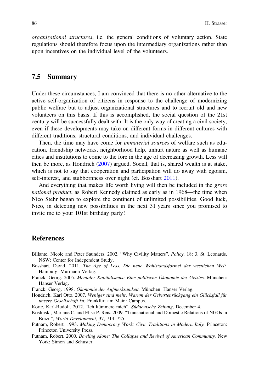organizational structures, i.e. the general conditions of voluntary action. State regulations should therefore focus upon the intermediary organizations rather than upon incentives on the individual level of the volunteers.

#### 7.5 Summary

Under these circumstances, I am convinced that there is no other alternative to the active self-organization of citizens in response to the challenge of modernizing public welfare but to adjust organizational structures and to recruit old and new volunteers on this basis. If this is accomplished, the social question of the 21st century will be successfully dealt with. It is the only way of creating a civil society, even if these developments may take on different forms in different cultures with different traditions, structural conditions, and individual challenges.

Then, the time may have come for *immaterial sources* of welfare such as education, friendship networks, neighborhood help, unhurt nature as well as humane cities and institutions to come to the fore in the age of decreasing growth. Less will then be more, as Hondrich (2007) argued. Social, that is, shared wealth is at stake, which is not to say that cooperation and participation will do away with egoism, self-interest, and stubbornness over night (cf. Bosshart 2011).

And everything that makes life worth living will then be included in the gross national product, as Robert Kennedy claimed as early as in 1968—the time when Nico Stehr began to explore the continent of unlimited possibilities. Good luck, Nico, in detecting new possibilities in the next 31 years since you promised to invite me to your 101st birthday party!

#### References

- Billante, Nicole and Peter Saunders. 2002. "Why Civility Matters", Policy, 18: 3. St. Leonards. NSW: Center for Independent Study.
- Bosshart, David. 2011. The Age of Less. Die neue Wohlstandsformel der westlichen Welt. Hamburg: Murmann Verlag.
- Franck, Georg. 2005. Mentaler Kapitalismus: Eine politische Ökonomie des Geistes. München: Hanser Verlag.
- Franck, Georg. 1998. Ökonomie der Aufmerksamkeit. München: Hanser Verlag.
- Hondrich, Karl Otto. 2007. Weniger sind mehr. Warum der Geburtenrückgang ein Glücksfall für unsere Gesellschaft ist. Frankfurt am Main: Campus.
- Korte, Karl-Rudolf. 2012. "Ich kümmere mich", Süddeutsche Zeitung, December 4.
- Koslinski, Mariane C. and Elisa P. Reis. 2009. "Transnational and Domestic Relations of NGOs in Brazil", World Development, 37, 714–725.
- Putnam, Robert. 1993. Making Democracy Work: Civic Traditions in Modern Italy. Princeton: Princeton University Press.
- Putnam, Robert. 2000. Bowling Alone: The Collapse and Revival of American Community. New York: Simon and Schuster.